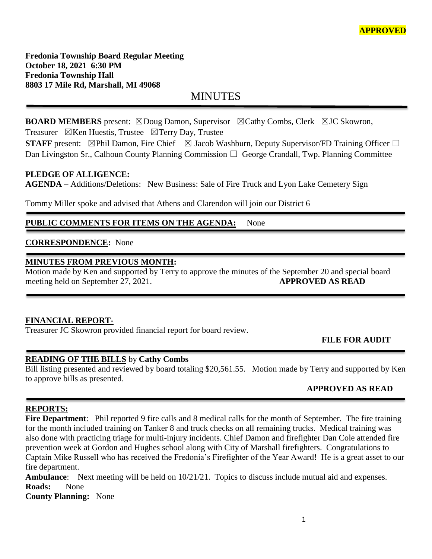**Fredonia Township Board Regular Meeting October 18, 2021 6:30 PM Fredonia Township Hall 8803 17 Mile Rd, Marshall, MI 49068**

MINUTES

**BOARD MEMBERS** present: ⊠Doug Damon, Supervisor ⊠Cathy Combs, Clerk ⊠JC Skowron, Treasurer  $\boxtimes$ Ken Huestis, Trustee  $\boxtimes$ Terry Day, Trustee

**STAFF** present: ⊠Phil Damon, Fire Chief ⊠ Jacob Washburn, Deputy Supervisor/FD Training Officer □ Dan Livingston Sr., Calhoun County Planning Commission  $\Box$  George Crandall, Twp. Planning Committee

### **PLEDGE OF ALLIGENCE:**

**AGENDA** – Additions/Deletions: New Business: Sale of Fire Truck and Lyon Lake Cemetery Sign

Tommy Miller spoke and advised that Athens and Clarendon will join our District 6

# PUBLIC COMMENTS FOR ITEMS ON THE AGENDA: None

### **CORRESPONDENCE:** None

### **MINUTES FROM PREVIOUS MONTH:**

Motion made by Ken and supported by Terry to approve the minutes of the September 20 and special board meeting held on September 27, 2021. **APPROVED AS READ**

### **FINANCIAL REPORT-**

Treasurer JC Skowron provided financial report for board review.

# **FILE FOR AUDIT**

### **READING OF THE BILLS** by **Cathy Combs**

Bill listing presented and reviewed by board totaling \$20,561.55. Motion made by Terry and supported by Ken to approve bills as presented.

# **APPROVED AS READ**

### **REPORTS:**

**Fire Department**: Phil reported 9 fire calls and 8 medical calls for the month of September. The fire training for the month included training on Tanker 8 and truck checks on all remaining trucks. Medical training was also done with practicing triage for multi-injury incidents. Chief Damon and firefighter Dan Cole attended fire prevention week at Gordon and Hughes school along with City of Marshall firefighters. Congratulations to Captain Mike Russell who has received the Fredonia's Firefighter of the Year Award! He is a great asset to our fire department.

**Ambulance**: Next meeting will be held on 10/21/21. Topics to discuss include mutual aid and expenses. **Roads:** None

**County Planning:** None